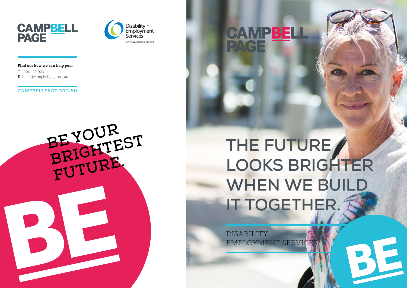# **THE FUTURE LOOKS BRIGHTER WHEN WE BUILD IT TOGETHER.**

DISABILITY EMPLOYMENT SERVICE

CAMPBEL







**Find out how we can help you:**

T 1300 139 920 E hello@campbellpage.org.au

### CAMPBELLPAGE.ORG.AU

CP033\_NOV2017